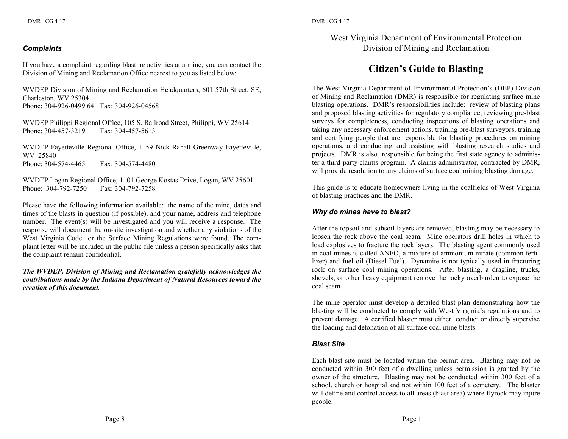### *Complaints*

If you have a complaint regarding blasting activities at a mine, you can contact the Division of Mining and Reclamation Office nearest to you as listed below:

WVDEP Division of Mining and Reclamation Headquarters, 601 57th Street, SE, Charleston, WV 25304 Phone: 304-926-0499 64 Fax: 304-926-04568

WVDEP Philippi Regional Office, 105 S. Railroad Street, Philippi, WV 25614 Phone: 304-457-3219 Fax: 304-457-5613

WVDEP Fayetteville Regional Office, 1159 Nick Rahall Greenway Fayetteville, WV 25840 Phone: 304-574-4465 Fax: 304-574-4480

WVDEP Logan Regional Office, 1101 George Kostas Drive, Logan, WV 25601 Phone: 304-792-7250 Fax: 304-792-7258

Please have the following information available: the name of the mine, dates and times of the blasts in question (if possible), and your name, address and telephone number. The event(s) will be investigated and you will receive a response. The response will document the on-site investigation and whether any violations of the West Virginia Code or the Surface Mining Regulations were found. The complaint letter will be included in the public file unless a person specifically asks that the complaint remain confidential.

*The WVDEP, Division of Mining and Reclamation gratefully acknowledges the contributions made by the Indiana Department of Natural Resources toward the creation of this document.*

# West Virginia Department of Environmental Protection Division of Mining and Reclamation

# **Citizen's Guide to Blasting**

The West Virginia Department of Environmental Protection's (DEP) Division of Mining and Reclamation (DMR) is responsible for regulating surface mine blasting operations. DMR's responsibilities include: review of blasting plans and proposed blasting activities for regulatory compliance, reviewing pre-blast surveys for completeness, conducting inspections of blasting operations and taking any necessary enforcement actions, training pre-blast surveyors, training and certifying people that are responsible for blasting procedures on mining operations, and conducting and assisting with blasting research studies and projects. DMR is also responsible for being the first state agency to administer a third-party claims program. A claims administrator, contracted by DMR, will provide resolution to any claims of surface coal mining blasting damage.

This guide is to educate homeowners living in the coalfields of West Virginia of blasting practices and the DMR.

# *Why do mines have to blast?*

After the topsoil and subsoil layers are removed, blasting may be necessary to loosen the rock above the coal seam. Mine operators drill holes in which to load explosives to fracture the rock layers. The blasting agent commonly used in coal mines is called ANFO, a mixture of ammonium nitrate (common fertilizer) and fuel oil (Diesel Fuel). Dynamite is not typically used in fracturing rock on surface coal mining operations. After blasting, a dragline, trucks, shovels, or other heavy equipment remove the rocky overburden to expose the coal seam.

The mine operator must develop a detailed blast plan demonstrating how the blasting will be conducted to comply with West Virginia's regulations and to prevent damage. A certified blaster must either conduct or directly supervise the loading and detonation of all surface coal mine blasts.

#### *Blast Site*

Each blast site must be located within the permit area. Blasting may not be conducted within 300 feet of a dwelling unless permission is granted by the owner of the structure. Blasting may not be conducted within 300 feet of a school, church or hospital and not within 100 feet of a cemetery. The blaster will define and control access to all areas (blast area) where flyrock may injure people.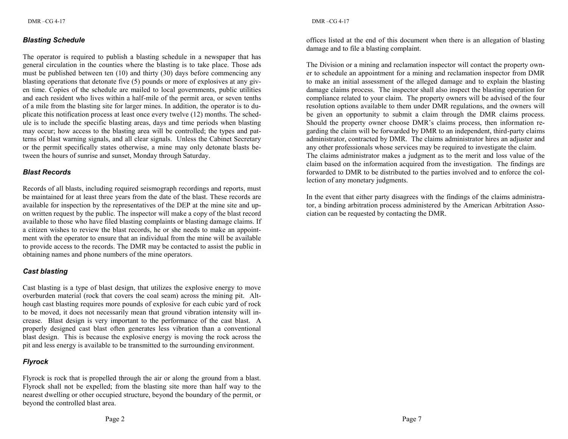### *Blasting Schedule*

The operator is required to publish a blasting schedule in a newspaper that has general circulation in the counties where the blasting is to take place. Those ads must be published between ten (10) and thirty (30) days before commencing any blasting operations that detonate five (5) pounds or more of explosives at any given time. Copies of the schedule are mailed to local governments, public utilities and each resident who lives within a half-mile of the permit area, or seven tenths of a mile from the blasting site for larger mines. In addition, the operator is to duplicate this notification process at least once every twelve (12) months. The schedule is to include the specific blasting areas, days and time periods when blasting may occur; how access to the blasting area will be controlled; the types and patterns of blast warning signals, and all clear signals. Unless the Cabinet Secretary or the permit specifically states otherwise, a mine may only detonate blasts between the hours of sunrise and sunset, Monday through Saturday.

# *Blast Records*

Records of all blasts, including required seismograph recordings and reports, must be maintained for at least three years from the date of the blast. These records are available for inspection by the representatives of the DEP at the mine site and upon written request by the public. The inspector will make a copy of the blast record available to those who have filed blasting complaints or blasting damage claims. If a citizen wishes to review the blast records, he or she needs to make an appointment with the operator to ensure that an individual from the mine will be available to provide access to the records. The DMR may be contacted to assist the public in obtaining names and phone numbers of the mine operators.

# *Cast blasting*

Cast blasting is a type of blast design, that utilizes the explosive energy to move overburden material (rock that covers the coal seam) across the mining pit. Although cast blasting requires more pounds of explosive for each cubic yard of rock to be moved, it does not necessarily mean that ground vibration intensity will increase. Blast design is very important to the performance of the cast blast. A properly designed cast blast often generates less vibration than a conventional blast design. This is because the explosive energy is moving the rock across the pit and less energy is available to be transmitted to the surrounding environment.

# *Flyrock*

Flyrock is rock that is propelled through the air or along the ground from a blast. Flyrock shall not be expelled; from the blasting site more than half way to the nearest dwelling or other occupied structure, beyond the boundary of the permit, or beyond the controlled blast area.

offices listed at the end of this document when there is an allegation of blasting damage and to file a blasting complaint.

The Division or a mining and reclamation inspector will contact the property owner to schedule an appointment for a mining and reclamation inspector from DMR to make an initial assessment of the alleged damage and to explain the blasting damage claims process. The inspector shall also inspect the blasting operation for compliance related to your claim. The property owners will be advised of the four resolution options available to them under DMR regulations, and the owners will be given an opportunity to submit a claim through the DMR claims process. Should the property owner choose DMR's claims process, then information regarding the claim will be forwarded by DMR to an independent, third-party claims administrator, contracted by DMR. The claims administrator hires an adjuster and any other professionals whose services may be required to investigate the claim. The claims administrator makes a judgment as to the merit and loss value of the claim based on the information acquired from the investigation. The findings are forwarded to DMR to be distributed to the parties involved and to enforce the collection of any monetary judgments.

In the event that either party disagrees with the findings of the claims administrator, a binding arbitration process administered by the American Arbitration Association can be requested by contacting the DMR.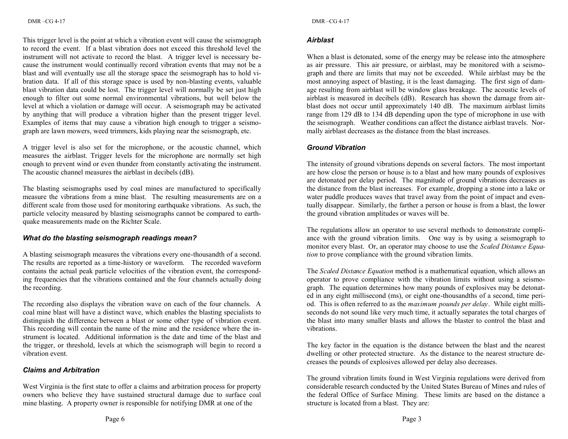#### This trigger level is the point at which a vibration event will cause the seismograph to record the event. If a blast vibration does not exceed this threshold level the instrument will not activate to record the blast. A trigger level is necessary because the instrument would continually record vibration events that may not be a blast and will eventually use all the storage space the seismograph has to hold vibration data. If all of this storage space is used by non-blasting events, valuable blast vibration data could be lost. The trigger level will normally be set just high enough to filter out some normal environmental vibrations, but well below the level at which a violation or damage will occur. A seismograph may be activated by anything that will produce a vibration higher than the present trigger level. Examples of items that may cause a vibration high enough to trigger a seismograph are lawn mowers, weed trimmers, kids playing near the seismograph, etc.

A trigger level is also set for the microphone, or the acoustic channel, which measures the airblast. Trigger levels for the microphone are normally set high enough to prevent wind or even thunder from constantly activating the instrument. The acoustic channel measures the airblast in decibels (dB).

The blasting seismographs used by coal mines are manufactured to specifically measure the vibrations from a mine blast. The resulting measurements are on a different scale from those used for monitoring earthquake vibrations. As such, the particle velocity measured by blasting seismographs cannot be compared to earthquake measurements made on the Richter Scale.

# *What do the blasting seismograph readings mean?*

A blasting seismograph measures the vibrations every one-thousandth of a second. The results are reported as a time-history or waveform. The recorded waveform contains the actual peak particle velocities of the vibration event, the corresponding frequencies that the vibrations contained and the four channels actually doing the recording.

The recording also displays the vibration wave on each of the four channels. A coal mine blast will have a distinct wave, which enables the blasting specialists to distinguish the difference between a blast or some other type of vibration event. This recording will contain the name of the mine and the residence where the instrument is located. Additional information is the date and time of the blast and the trigger, or threshold, levels at which the seismograph will begin to record a vibration event.

# *Claims and Arbitration*

West Virginia is the first state to offer a claims and arbitration process for property owners who believe they have sustained structural damage due to surface coal mine blasting. A property owner is responsible for notifying DMR at one of the

# *Airblast*

When a blast is detonated, some of the energy may be release into the atmosphere as air pressure. This air pressure, or airblast, may be monitored with a seismograph and there are limits that may not be exceeded. While airblast may be the most annoying aspect of blasting, it is the least damaging. The first sign of damage resulting from airblast will be window glass breakage. The acoustic levels of airblast is measured in decibels (dB). Research has shown the damage from airblast does not occur until approximately 140 dB. The maximum airblast limits range from 129 dB to 134 dB depending upon the type of microphone in use with the seismograph. Weather conditions can affect the distance airblast travels. Normally airblast decreases as the distance from the blast increases.

# *Ground Vibration*

The intensity of ground vibrations depends on several factors. The most important are how close the person or house is to a blast and how many pounds of explosives are detonated per delay period. The magnitude of ground vibrations decreases as the distance from the blast increases. For example, dropping a stone into a lake or water puddle produces waves that travel away from the point of impact and eventually disappear. Similarly, the farther a person or house is from a blast, the lower the ground vibration amplitudes or waves will be.

The regulations allow an operator to use several methods to demonstrate compliance with the ground vibration limits. One way is by using a seismograph to monitor every blast. Or, an operator may choose to use the *Scaled Distance Equation* to prove compliance with the ground vibration limits.

The *Scaled Distance Equation* method is a mathematical equation, which allows an operator to prove compliance with the vibration limits without using a seismograph. The equation determines how many pounds of explosives may be detonated in any eight millisecond (ms), or eight one-thousandths of a second, time period. This is often referred to as the *maximum pounds per delay*. While eight milliseconds do not sound like very much time, it actually separates the total charges of the blast into many smaller blasts and allows the blaster to control the blast and vibrations.

The key factor in the equation is the distance between the blast and the nearest dwelling or other protected structure. As the distance to the nearest structure decreases the pounds of explosives allowed per delay also decreases.

The ground vibration limits found in West Virginia regulations were derived from considerable research conducted by the United States Bureau of Mines and rules of the federal Office of Surface Mining. These limits are based on the distance a structure is located from a blast. They are: